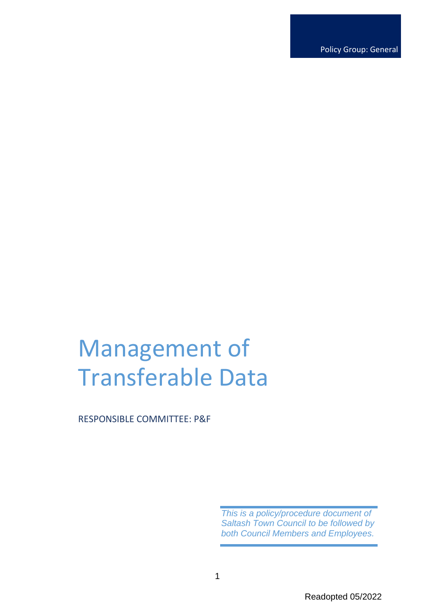Policy Group: General

# Management of Transferable Data

RESPONSIBLE COMMITTEE: P&F

*This is a policy/procedure document of Saltash Town Council to be followed by both Council Members and Employees.*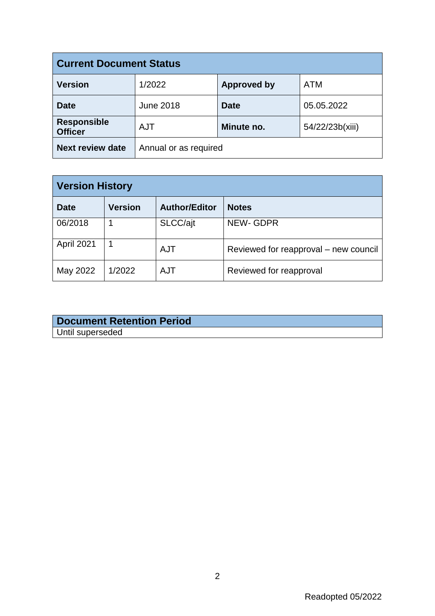| <b>Current Document Status</b>       |                       |                    |                 |  |
|--------------------------------------|-----------------------|--------------------|-----------------|--|
| <b>Version</b>                       | 1/2022                | <b>Approved by</b> | <b>ATM</b>      |  |
| <b>Date</b>                          | <b>June 2018</b>      | <b>Date</b>        | 05.05.2022      |  |
| <b>Responsible</b><br><b>Officer</b> | <b>AJT</b>            | Minute no.         | 54/22/23b(xiii) |  |
| <b>Next review date</b>              | Annual or as required |                    |                 |  |

| <b>Version History</b> |                |                      |                                       |  |
|------------------------|----------------|----------------------|---------------------------------------|--|
| <b>Date</b>            | <b>Version</b> | <b>Author/Editor</b> | <b>Notes</b>                          |  |
| 06/2018                |                | SLCC/ajt             | <b>NEW-GDPR</b>                       |  |
| April 2021             |                | <b>AJT</b>           | Reviewed for reapproval – new council |  |
| May 2022               | 1/2022         | <b>AJT</b>           | Reviewed for reapproval               |  |

| <b>Document Retention Period</b> |  |  |
|----------------------------------|--|--|
| Until superseded                 |  |  |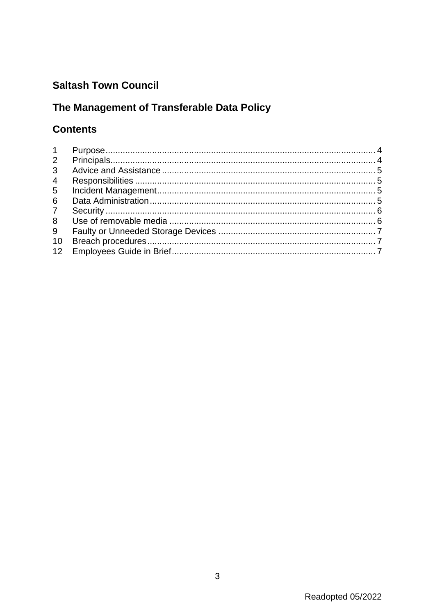# **Saltash Town Council**

# The Management of Transferable Data Policy

# **Contents**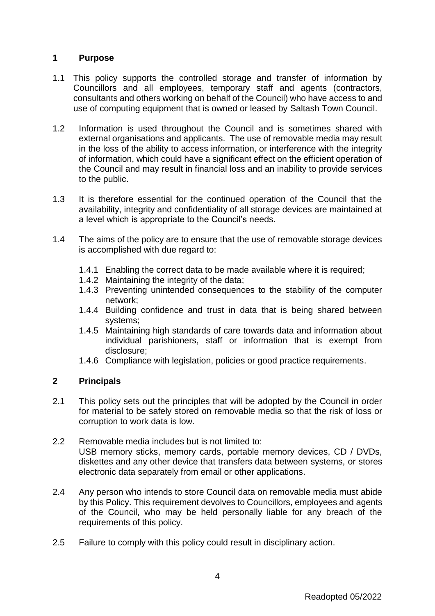# <span id="page-3-0"></span>**1 Purpose**

- 1.1 This policy supports the controlled storage and transfer of information by Councillors and all employees, temporary staff and agents (contractors, consultants and others working on behalf of the Council) who have access to and use of computing equipment that is owned or leased by Saltash Town Council.
- 1.2 Information is used throughout the Council and is sometimes shared with external organisations and applicants. The use of removable media may result in the loss of the ability to access information, or interference with the integrity of information, which could have a significant effect on the efficient operation of the Council and may result in financial loss and an inability to provide services to the public.
- 1.3 It is therefore essential for the continued operation of the Council that the availability, integrity and confidentiality of all storage devices are maintained at a level which is appropriate to the Council's needs.
- 1.4 The aims of the policy are to ensure that the use of removable storage devices is accomplished with due regard to:
	- 1.4.1 Enabling the correct data to be made available where it is required;
	- 1.4.2 Maintaining the integrity of the data;
	- 1.4.3 Preventing unintended consequences to the stability of the computer network;
	- 1.4.4 Building confidence and trust in data that is being shared between systems;
	- 1.4.5 Maintaining high standards of care towards data and information about individual parishioners, staff or information that is exempt from disclosure;
	- 1.4.6 Compliance with legislation, policies or good practice requirements.

## <span id="page-3-1"></span>**2 Principals**

- 2.1 This policy sets out the principles that will be adopted by the Council in order for material to be safely stored on removable media so that the risk of loss or corruption to work data is low.
- 2.2 Removable media includes but is not limited to: USB memory sticks, memory cards, portable memory devices, CD / DVDs, diskettes and any other device that transfers data between systems, or stores electronic data separately from email or other applications.
- 2.4 Any person who intends to store Council data on removable media must abide by this Policy. This requirement devolves to Councillors, employees and agents of the Council, who may be held personally liable for any breach of the requirements of this policy.
- 2.5 Failure to comply with this policy could result in disciplinary action.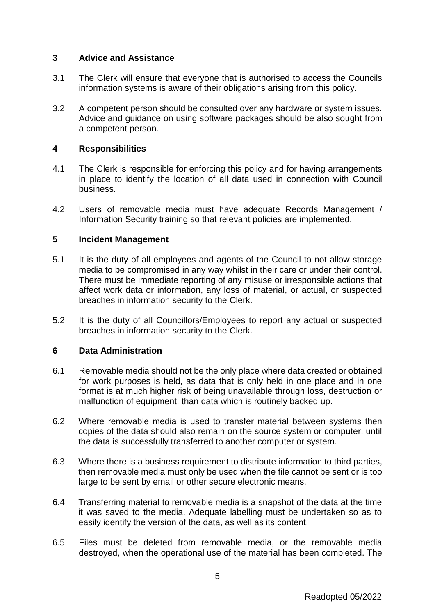## <span id="page-4-0"></span>**3 Advice and Assistance**

- 3.1 The Clerk will ensure that everyone that is authorised to access the Councils information systems is aware of their obligations arising from this policy.
- 3.2 A competent person should be consulted over any hardware or system issues. Advice and guidance on using software packages should be also sought from a competent person.

## <span id="page-4-1"></span>**4 Responsibilities**

- 4.1 The Clerk is responsible for enforcing this policy and for having arrangements in place to identify the location of all data used in connection with Council business.
- 4.2 Users of removable media must have adequate Records Management / Information Security training so that relevant policies are implemented.

## <span id="page-4-2"></span>**5 Incident Management**

- 5.1 It is the duty of all employees and agents of the Council to not allow storage media to be compromised in any way whilst in their care or under their control. There must be immediate reporting of any misuse or irresponsible actions that affect work data or information, any loss of material, or actual, or suspected breaches in information security to the Clerk.
- 5.2 It is the duty of all Councillors/Employees to report any actual or suspected breaches in information security to the Clerk.

#### <span id="page-4-3"></span>**6 Data Administration**

- 6.1 Removable media should not be the only place where data created or obtained for work purposes is held, as data that is only held in one place and in one format is at much higher risk of being unavailable through loss, destruction or malfunction of equipment, than data which is routinely backed up.
- 6.2 Where removable media is used to transfer material between systems then copies of the data should also remain on the source system or computer, until the data is successfully transferred to another computer or system.
- 6.3 Where there is a business requirement to distribute information to third parties, then removable media must only be used when the file cannot be sent or is too large to be sent by email or other secure electronic means.
- 6.4 Transferring material to removable media is a snapshot of the data at the time it was saved to the media. Adequate labelling must be undertaken so as to easily identify the version of the data, as well as its content.
- 6.5 Files must be deleted from removable media, or the removable media destroyed, when the operational use of the material has been completed. The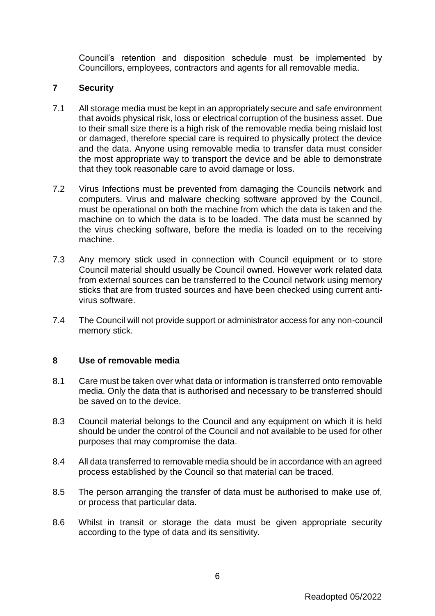Council's retention and disposition schedule must be implemented by Councillors, employees, contractors and agents for all removable media.

## <span id="page-5-0"></span>**7 Security**

- 7.1 All storage media must be kept in an appropriately secure and safe environment that avoids physical risk, loss or electrical corruption of the business asset. Due to their small size there is a high risk of the removable media being mislaid lost or damaged, therefore special care is required to physically protect the device and the data. Anyone using removable media to transfer data must consider the most appropriate way to transport the device and be able to demonstrate that they took reasonable care to avoid damage or loss.
- 7.2 Virus Infections must be prevented from damaging the Councils network and computers. Virus and malware checking software approved by the Council, must be operational on both the machine from which the data is taken and the machine on to which the data is to be loaded. The data must be scanned by the virus checking software, before the media is loaded on to the receiving machine.
- 7.3 Any memory stick used in connection with Council equipment or to store Council material should usually be Council owned. However work related data from external sources can be transferred to the Council network using memory sticks that are from trusted sources and have been checked using current antivirus software.
- 7.4 The Council will not provide support or administrator access for any non-council memory stick.

#### <span id="page-5-1"></span>**8 Use of removable media**

- 8.1 Care must be taken over what data or information is transferred onto removable media. Only the data that is authorised and necessary to be transferred should be saved on to the device.
- 8.3 Council material belongs to the Council and any equipment on which it is held should be under the control of the Council and not available to be used for other purposes that may compromise the data.
- 8.4 All data transferred to removable media should be in accordance with an agreed process established by the Council so that material can be traced.
- 8.5 The person arranging the transfer of data must be authorised to make use of, or process that particular data.
- 8.6 Whilst in transit or storage the data must be given appropriate security according to the type of data and its sensitivity.

6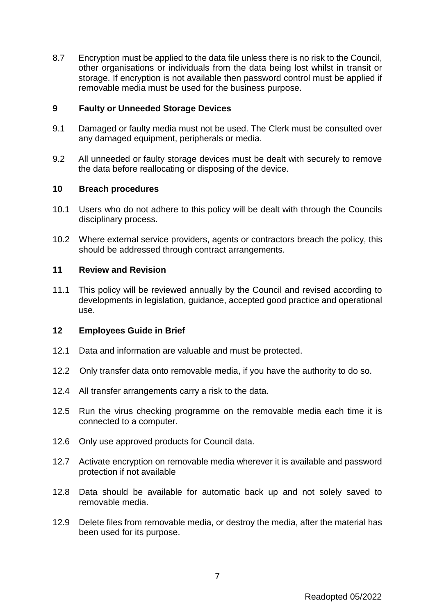8.7 Encryption must be applied to the data file unless there is no risk to the Council, other organisations or individuals from the data being lost whilst in transit or storage. If encryption is not available then password control must be applied if removable media must be used for the business purpose.

#### <span id="page-6-0"></span>**9 Faulty or Unneeded Storage Devices**

- 9.1 Damaged or faulty media must not be used. The Clerk must be consulted over any damaged equipment, peripherals or media.
- 9.2 All unneeded or faulty storage devices must be dealt with securely to remove the data before reallocating or disposing of the device.

#### <span id="page-6-1"></span>**10 Breach procedures**

- 10.1 Users who do not adhere to this policy will be dealt with through the Councils disciplinary process.
- 10.2 Where external service providers, agents or contractors breach the policy, this should be addressed through contract arrangements.

#### **11 Review and Revision**

11.1 This policy will be reviewed annually by the Council and revised according to developments in legislation, guidance, accepted good practice and operational use.

#### <span id="page-6-2"></span>**12 Employees Guide in Brief**

- 12.1 Data and information are valuable and must be protected.
- 12.2 Only transfer data onto removable media, if you have the authority to do so.
- 12.4 All transfer arrangements carry a risk to the data.
- 12.5 Run the virus checking programme on the removable media each time it is connected to a computer.
- 12.6 Only use approved products for Council data.
- 12.7 Activate encryption on removable media wherever it is available and password protection if not available
- 12.8 Data should be available for automatic back up and not solely saved to removable media.
- 12.9 Delete files from removable media, or destroy the media, after the material has been used for its purpose.